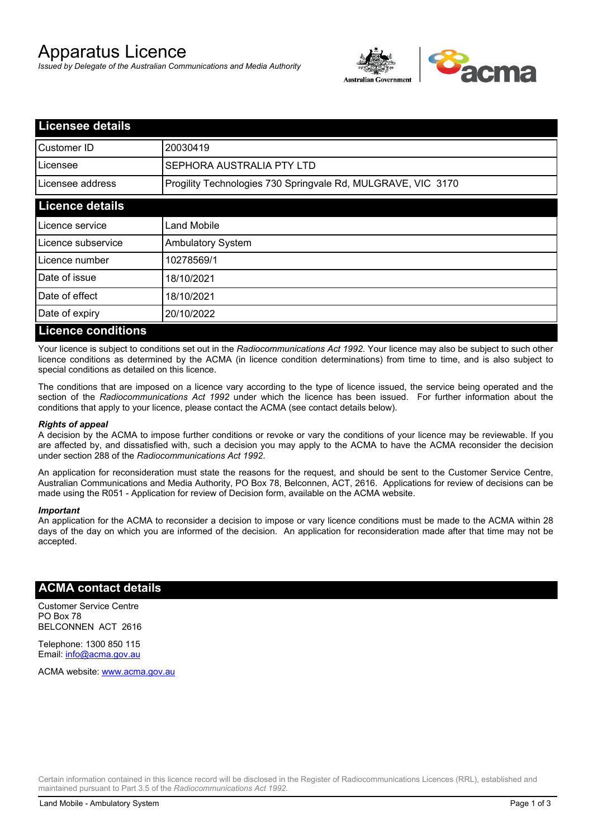# Apparatus Licence

*Issued by Delegate of the Australian Communications and Media Authority*



| <b>Licensee details</b>   |                                                              |  |
|---------------------------|--------------------------------------------------------------|--|
| <b>I</b> Customer ID      | 20030419                                                     |  |
| Licensee                  | SEPHORA AUSTRALIA PTY LTD                                    |  |
| Licensee address          | Progility Technologies 730 Springvale Rd, MULGRAVE, VIC 3170 |  |
| <b>Licence details</b>    |                                                              |  |
| Licence service           | <b>Land Mobile</b>                                           |  |
| Licence subservice        | <b>Ambulatory System</b>                                     |  |
| Licence number            | 10278569/1                                                   |  |
| Date of issue             | 18/10/2021                                                   |  |
| Date of effect            | 18/10/2021                                                   |  |
| Date of expiry            | 20/10/2022                                                   |  |
| <b>Licence conditions</b> |                                                              |  |

Your licence is subject to conditions set out in the *Radiocommunications Act 1992*. Your licence may also be subject to such other licence conditions as determined by the ACMA (in licence condition determinations) from time to time, and is also subject to special conditions as detailed on this licence.

The conditions that are imposed on a licence vary according to the type of licence issued, the service being operated and the section of the *Radiocommunications Act 1992* under which the licence has been issued. For further information about the conditions that apply to your licence, please contact the ACMA (see contact details below).

### *Rights of appeal*

A decision by the ACMA to impose further conditions or revoke or vary the conditions of your licence may be reviewable. If you are affected by, and dissatisfied with, such a decision you may apply to the ACMA to have the ACMA reconsider the decision under section 288 of the *Radiocommunications Act 1992*.

An application for reconsideration must state the reasons for the request, and should be sent to the Customer Service Centre, Australian Communications and Media Authority, PO Box 78, Belconnen, ACT, 2616. Applications for review of decisions can be made using the R051 - Application for review of Decision form, available on the ACMA website.

#### *Important*

An application for the ACMA to reconsider a decision to impose or vary licence conditions must be made to the ACMA within 28 days of the day on which you are informed of the decision. An application for reconsideration made after that time may not be accepted.

### **ACMA contact details**

Customer Service Centre PO Box 78 BELCONNEN ACT 2616

Telephone: 1300 850 115 Email: info@acma.gov.au

ACMA website: www.acma.gov.au

Certain information contained in this licence record will be disclosed in the Register of Radiocommunications Licences (RRL), established and maintained pursuant to Part 3.5 of the *Radiocommunications Act 1992.*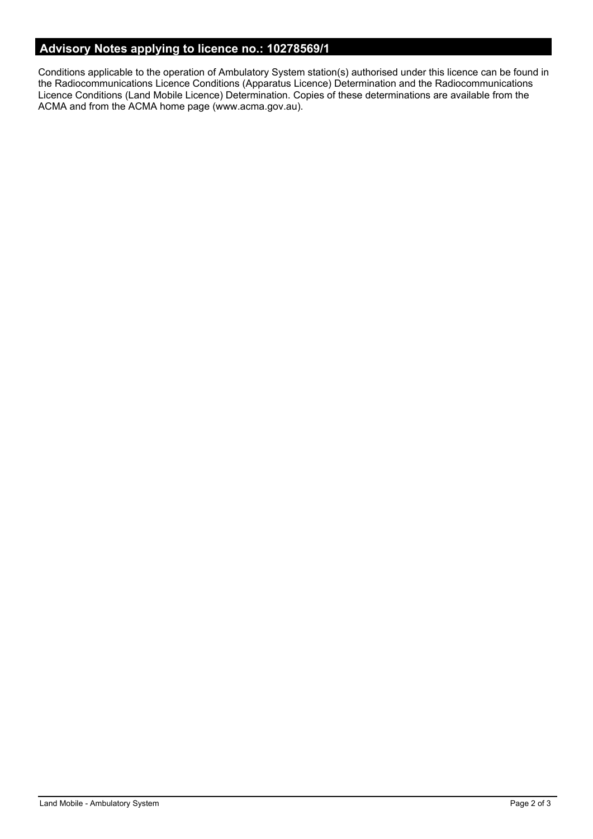# **Advisory Notes applying to licence no.: 10278569/1**

Conditions applicable to the operation of Ambulatory System station(s) authorised under this licence can be found in the Radiocommunications Licence Conditions (Apparatus Licence) Determination and the Radiocommunications Licence Conditions (Land Mobile Licence) Determination. Copies of these determinations are available from the ACMA and from the ACMA home page (www.acma.gov.au).